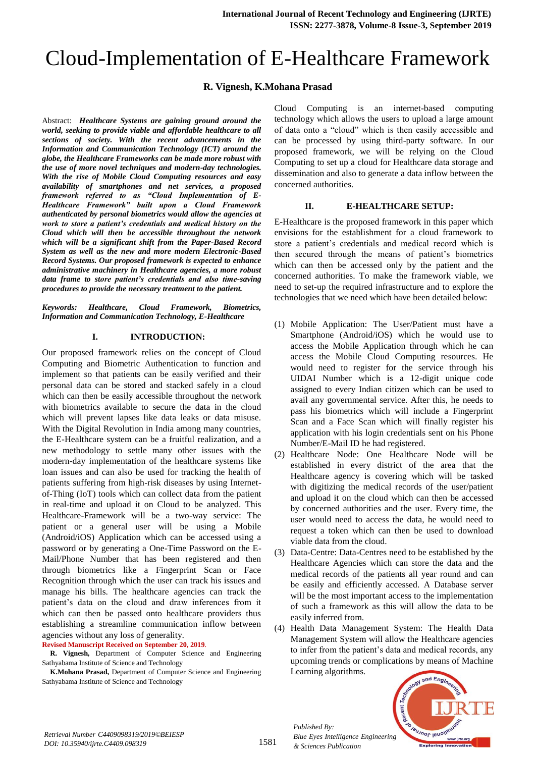# Cloud-Implementation of E-Healthcare Framework

# **R. Vignesh, K.Mohana Prasad**

Abstract: *Healthcare Systems are gaining ground around the world, seeking to provide viable and affordable healthcare to all sections of society. With the recent advancements in the Information and Communication Technology (ICT) around the globe, the Healthcare Frameworks can be made more robust with the use of more novel techniques and modern-day technologies. With the rise of Mobile Cloud Computing resources and easy availability of smartphones and net services, a proposed framework referred to as "Cloud Implementation of E-Healthcare Framework" built upon a Cloud Framework authenticated by personal biometrics would allow the agencies at work to store a patient's credentials and medical history on the Cloud which will then be accessible throughout the network which will be a significant shift from the Paper-Based Record System as well as the new and more modern Electronic-Based Record Systems. Our proposed framework is expected to enhance administrative machinery in Healthcare agencies, a more robust data frame to store patient's credentials and also time-saving procedures to provide the necessary treatment to the patient.*

*Keywords: Healthcare, Cloud Framework, Biometrics, Information and Communication Technology, E-Healthcare*

## **I. INTRODUCTION:**

Our proposed framework relies on the concept of Cloud Computing and Biometric Authentication to function and implement so that patients can be easily verified and their personal data can be stored and stacked safely in a cloud which can then be easily accessible throughout the network with biometrics available to secure the data in the cloud which will prevent lapses like data leaks or data misuse. With the Digital Revolution in India among many countries, the E-Healthcare system can be a fruitful realization, and a new methodology to settle many other issues with the modern-day implementation of the healthcare systems like loan issues and can also be used for tracking the health of patients suffering from high-risk diseases by using Internetof-Thing (IoT) tools which can collect data from the patient in real-time and upload it on Cloud to be analyzed. This Healthcare-Framework will be a two-way service: The patient or a general user will be using a Mobile (Android/iOS) Application which can be accessed using a password or by generating a One-Time Password on the E-Mail/Phone Number that has been registered and then through biometrics like a Fingerprint Scan or Face Recognition through which the user can track his issues and manage his bills. The healthcare agencies can track the patient's data on the cloud and draw inferences from it which can then be passed onto healthcare providers thus establishing a streamline communication inflow between agencies without any loss of generality.

#### **Revised Manuscript Received on September 20, 2019**.

**R. Vignesh,** Department of Computer Science and Engineering Sathyabama Institute of Science and Technology

**K.Mohana Prasad,** Department of Computer Science and Engineering Sathyabama Institute of Science and Technology

Cloud Computing is an internet-based computing technology which allows the users to upload a large amount of data onto a "cloud" which is then easily accessible and can be processed by using third-party software. In our proposed framework, we will be relying on the Cloud Computing to set up a cloud for Healthcare data storage and dissemination and also to generate a data inflow between the concerned authorities.

## **II. E-HEALTHCARE SETUP:**

E-Healthcare is the proposed framework in this paper which envisions for the establishment for a cloud framework to store a patient's credentials and medical record which is then secured through the means of patient's biometrics which can then be accessed only by the patient and the concerned authorities. To make the framework viable, we need to set-up the required infrastructure and to explore the technologies that we need which have been detailed below:

- (1) Mobile Application: The User/Patient must have a Smartphone (Android/iOS) which he would use to access the Mobile Application through which he can access the Mobile Cloud Computing resources. He would need to register for the service through his UIDAI Number which is a 12-digit unique code assigned to every Indian citizen which can be used to avail any governmental service. After this, he needs to pass his biometrics which will include a Fingerprint Scan and a Face Scan which will finally register his application with his login credentials sent on his Phone Number/E-Mail ID he had registered.
- (2) Healthcare Node: One Healthcare Node will be established in every district of the area that the Healthcare agency is covering which will be tasked with digitizing the medical records of the user/patient and upload it on the cloud which can then be accessed by concerned authorities and the user. Every time, the user would need to access the data, he would need to request a token which can then be used to download viable data from the cloud.
- (3) Data-Centre: Data-Centres need to be established by the Healthcare Agencies which can store the data and the medical records of the patients all year round and can be easily and efficiently accessed. A Database server will be the most important access to the implementation of such a framework as this will allow the data to be easily inferred from.
- (4) Health Data Management System: The Health Data Management System will allow the Healthcare agencies to infer from the patient's data and medical records, any upcoming trends or complications by means of Machine Learning algorithms.



*Published By:*

*& Sciences Publication*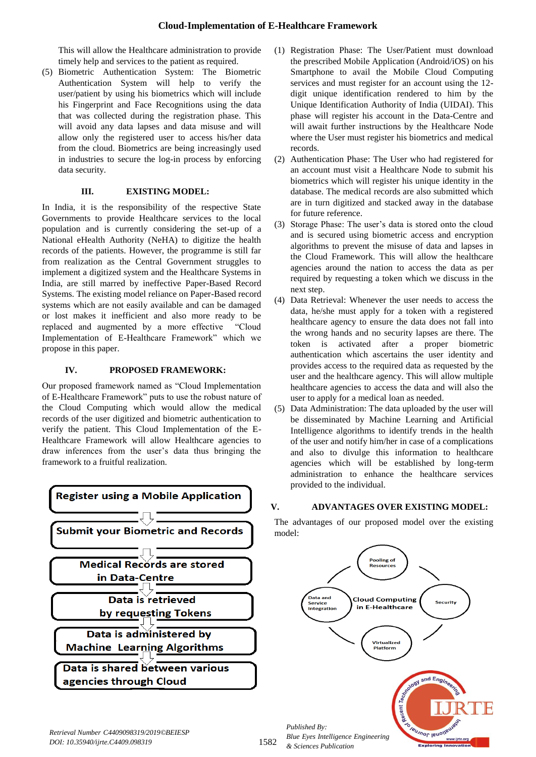This will allow the Healthcare administration to provide timely help and services to the patient as required.

(5) Biometric Authentication System: The Biometric Authentication System will help to verify the user/patient by using his biometrics which will include his Fingerprint and Face Recognitions using the data that was collected during the registration phase. This will avoid any data lapses and data misuse and will allow only the registered user to access his/her data from the cloud. Biometrics are being increasingly used in industries to secure the log-in process by enforcing data security.

# **III. EXISTING MODEL:**

In India, it is the responsibility of the respective State Governments to provide Healthcare services to the local population and is currently considering the set-up of a National eHealth Authority (NeHA) to digitize the health records of the patients. However, the programme is still far from realization as the Central Government struggles to implement a digitized system and the Healthcare Systems in India, are still marred by ineffective Paper-Based Record Systems. The existing model reliance on Paper-Based record systems which are not easily available and can be damaged or lost makes it inefficient and also more ready to be replaced and augmented by a more effective "Cloud Implementation of E-Healthcare Framework" which we propose in this paper.

# **IV. PROPOSED FRAMEWORK:**

Our proposed framework named as "Cloud Implementation of E-Healthcare Framework" puts to use the robust nature of the Cloud Computing which would allow the medical records of the user digitized and biometric authentication to verify the patient. This Cloud Implementation of the E-Healthcare Framework will allow Healthcare agencies to draw inferences from the user's data thus bringing the framework to a fruitful realization.



- (1) Registration Phase: The User/Patient must download the prescribed Mobile Application (Android/iOS) on his Smartphone to avail the Mobile Cloud Computing services and must register for an account using the 12 digit unique identification rendered to him by the Unique Identification Authority of India (UIDAI). This phase will register his account in the Data-Centre and will await further instructions by the Healthcare Node where the User must register his biometrics and medical records.
- (2) Authentication Phase: The User who had registered for an account must visit a Healthcare Node to submit his biometrics which will register his unique identity in the database. The medical records are also submitted which are in turn digitized and stacked away in the database for future reference.
- (3) Storage Phase: The user's data is stored onto the cloud and is secured using biometric access and encryption algorithms to prevent the misuse of data and lapses in the Cloud Framework. This will allow the healthcare agencies around the nation to access the data as per required by requesting a token which we discuss in the next step.
- (4) Data Retrieval: Whenever the user needs to access the data, he/she must apply for a token with a registered healthcare agency to ensure the data does not fall into the wrong hands and no security lapses are there. The token is activated after a proper biometric authentication which ascertains the user identity and provides access to the required data as requested by the user and the healthcare agency. This will allow multiple healthcare agencies to access the data and will also the user to apply for a medical loan as needed.
- (5) Data Administration: The data uploaded by the user will be disseminated by Machine Learning and Artificial Intelligence algorithms to identify trends in the health of the user and notify him/her in case of a complications and also to divulge this information to healthcare agencies which will be established by long-term administration to enhance the healthcare services provided to the individual.

## **V. ADVANTAGES OVER EXISTING MODEL:**

The advantages of our proposed model over the existing model:



1582